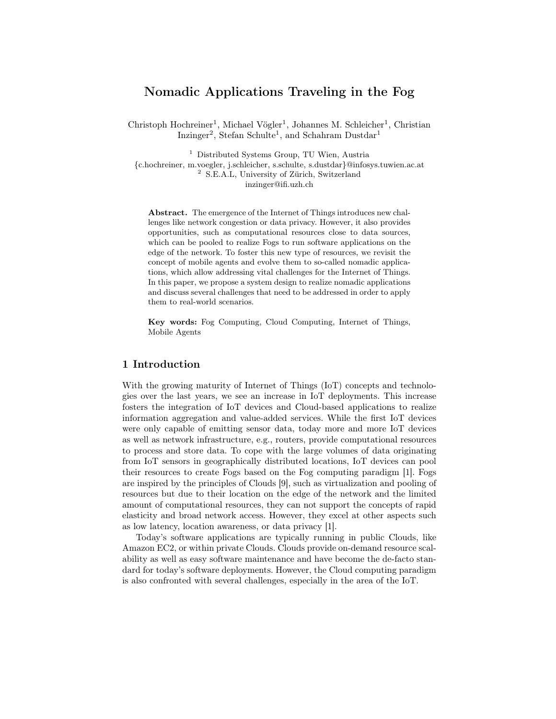# Nomadic Applications Traveling in the Fog

Christoph Hochreiner<sup>1</sup>, Michael Vögler<sup>1</sup>, Johannes M. Schleicher<sup>1</sup>, Christian Inzinger<sup>2</sup>, Stefan Schulte<sup>1</sup>, and Schahram Dustdar<sup>1</sup>

<sup>1</sup> Distributed Systems Group, TU Wien, Austria {c.hochreiner, m.voegler, j.schleicher, s.schulte, s.dustdar}@infosys.tuwien.ac.at <sup>2</sup> S.E.A.L, University of Zürich, Switzerland inzinger@ifi.uzh.ch

Abstract. The emergence of the Internet of Things introduces new challenges like network congestion or data privacy. However, it also provides opportunities, such as computational resources close to data sources, which can be pooled to realize Fogs to run software applications on the edge of the network. To foster this new type of resources, we revisit the concept of mobile agents and evolve them to so-called nomadic applications, which allow addressing vital challenges for the Internet of Things. In this paper, we propose a system design to realize nomadic applications and discuss several challenges that need to be addressed in order to apply them to real-world scenarios.

Key words: Fog Computing, Cloud Computing, Internet of Things, Mobile Agents

# 1 Introduction

With the growing maturity of Internet of Things (IoT) concepts and technologies over the last years, we see an increase in IoT deployments. This increase fosters the integration of IoT devices and Cloud-based applications to realize information aggregation and value-added services. While the first IoT devices were only capable of emitting sensor data, today more and more IoT devices as well as network infrastructure, e.g., routers, provide computational resources to process and store data. To cope with the large volumes of data originating from IoT sensors in geographically distributed locations, IoT devices can pool their resources to create Fogs based on the Fog computing paradigm [1]. Fogs are inspired by the principles of Clouds [9], such as virtualization and pooling of resources but due to their location on the edge of the network and the limited amount of computational resources, they can not support the concepts of rapid elasticity and broad network access. However, they excel at other aspects such as low latency, location awareness, or data privacy [1].

Today's software applications are typically running in public Clouds, like Amazon EC2, or within private Clouds. Clouds provide on-demand resource scalability as well as easy software maintenance and have become the de-facto standard for today's software deployments. However, the Cloud computing paradigm is also confronted with several challenges, especially in the area of the IoT.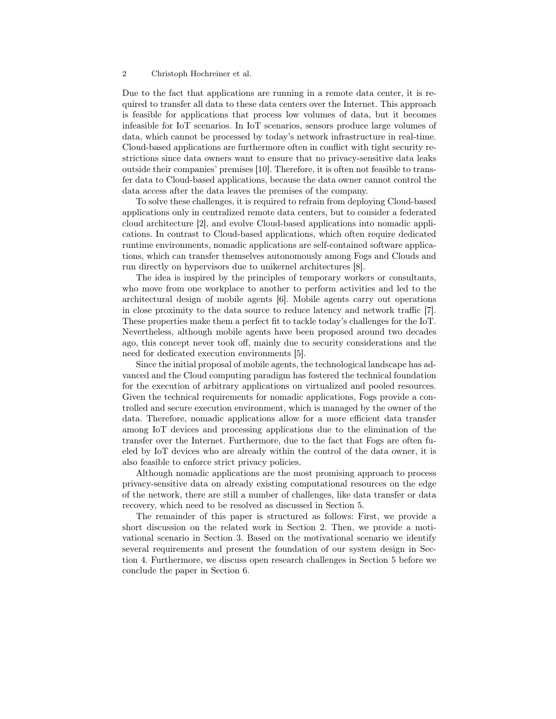Due to the fact that applications are running in a remote data center, it is required to transfer all data to these data centers over the Internet. This approach is feasible for applications that process low volumes of data, but it becomes infeasible for IoT scenarios. In IoT scenarios, sensors produce large volumes of data, which cannot be processed by today's network infrastructure in real-time. Cloud-based applications are furthermore often in conflict with tight security restrictions since data owners want to ensure that no privacy-sensitive data leaks outside their companies' premises [10]. Therefore, it is often not feasible to transfer data to Cloud-based applications, because the data owner cannot control the data access after the data leaves the premises of the company.

To solve these challenges, it is required to refrain from deploying Cloud-based applications only in centralized remote data centers, but to consider a federated cloud architecture [2], and evolve Cloud-based applications into nomadic applications. In contrast to Cloud-based applications, which often require dedicated runtime environments, nomadic applications are self-contained software applications, which can transfer themselves autonomously among Fogs and Clouds and run directly on hypervisors due to unikernel architectures [8].

The idea is inspired by the principles of temporary workers or consultants, who move from one workplace to another to perform activities and led to the architectural design of mobile agents [6]. Mobile agents carry out operations in close proximity to the data source to reduce latency and network traffic [7]. These properties make them a perfect fit to tackle today's challenges for the IoT. Nevertheless, although mobile agents have been proposed around two decades ago, this concept never took off, mainly due to security considerations and the need for dedicated execution environments [5].

Since the initial proposal of mobile agents, the technological landscape has advanced and the Cloud computing paradigm has fostered the technical foundation for the execution of arbitrary applications on virtualized and pooled resources. Given the technical requirements for nomadic applications, Fogs provide a controlled and secure execution environment, which is managed by the owner of the data. Therefore, nomadic applications allow for a more efficient data transfer among IoT devices and processing applications due to the elimination of the transfer over the Internet. Furthermore, due to the fact that Fogs are often fueled by IoT devices who are already within the control of the data owner, it is also feasible to enforce strict privacy policies.

Although nomadic applications are the most promising approach to process privacy-sensitive data on already existing computational resources on the edge of the network, there are still a number of challenges, like data transfer or data recovery, which need to be resolved as discussed in Section 5.

The remainder of this paper is structured as follows: First, we provide a short discussion on the related work in Section 2. Then, we provide a motivational scenario in Section 3. Based on the motivational scenario we identify several requirements and present the foundation of our system design in Section 4. Furthermore, we discuss open research challenges in Section 5 before we conclude the paper in Section 6.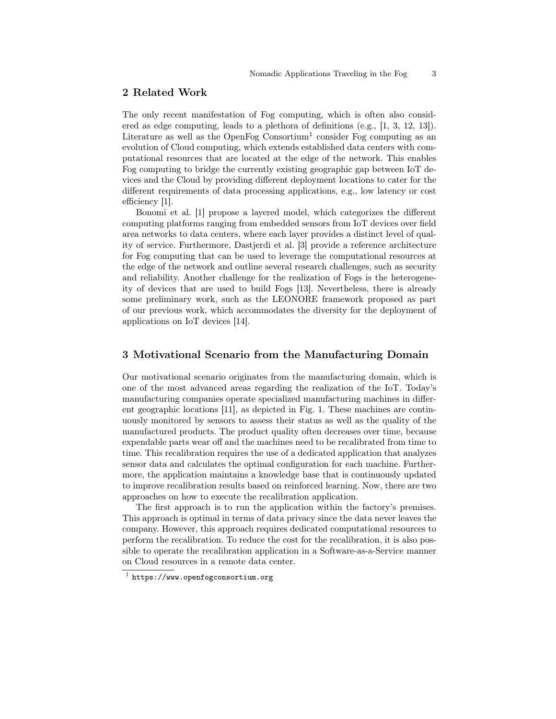## 2 Related Work

The only recent manifestation of Fog computing, which is often also considered as edge computing, leads to a plethora of definitions (e.g., [1, 3, 12, 13]). Literature as well as the OpenFog Consortium<sup>1</sup> consider Fog computing as an evolution of Cloud computing, which extends established data centers with computational resources that are located at the edge of the network. This enables Fog computing to bridge the currently existing geographic gap between IoT devices and the Cloud by providing different deployment locations to cater for the different requirements of data processing applications, e.g., low latency or cost efficiency [1].

Bonomi et al. [1] propose a layered model, which categorizes the different computing platforms ranging from embedded sensors from IoT devices over field area networks to data centers, where each layer provides a distinct level of quality of service. Furthermore, Dastjerdi et al. [3] provide a reference architecture for Fog computing that can be used to leverage the computational resources at the edge of the network and outline several research challenges, such as security and reliability. Another challenge for the realization of Fogs is the heterogeneity of devices that are used to build Fogs [13]. Nevertheless, there is already some preliminary work, such as the LEONORE framework proposed as part of our previous work, which accommodates the diversity for the deployment of applications on IoT devices [14].

### 3 Motivational Scenario from the Manufacturing Domain

Our motivational scenario originates from the manufacturing domain, which is one of the most advanced areas regarding the realization of the IoT. Today's manufacturing companies operate specialized manufacturing machines in different geographic locations [11], as depicted in Fig. 1. These machines are continuously monitored by sensors to assess their status as well as the quality of the manufactured products. The product quality often decreases over time, because expendable parts wear off and the machines need to be recalibrated from time to time. This recalibration requires the use of a dedicated application that analyzes sensor data and calculates the optimal configuration for each machine. Furthermore, the application maintains a knowledge base that is continuously updated to improve recalibration results based on reinforced learning. Now, there are two approaches on how to execute the recalibration application.

The first approach is to run the application within the factory's premises. This approach is optimal in terms of data privacy since the data never leaves the company. However, this approach requires dedicated computational resources to perform the recalibration. To reduce the cost for the recalibration, it is also possible to operate the recalibration application in a Software-as-a-Service manner on Cloud resources in a remote data center.

<sup>1</sup> https://www.openfogconsortium.org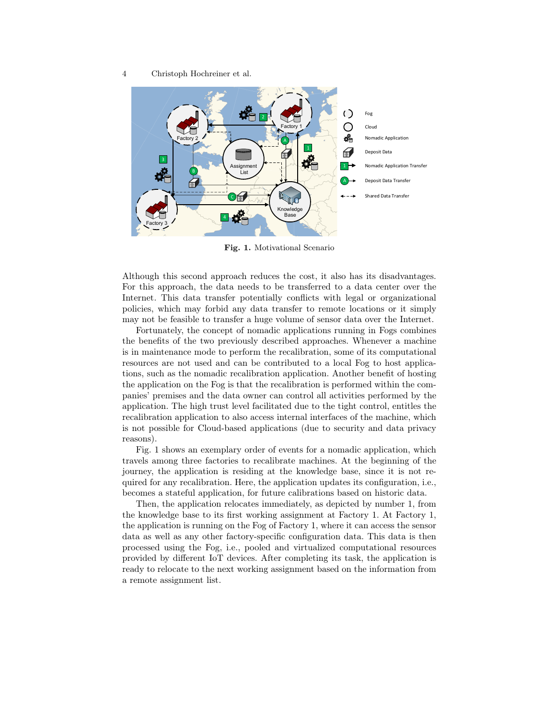

Fig. 1. Motivational Scenario

Although this second approach reduces the cost, it also has its disadvantages. For this approach, the data needs to be transferred to a data center over the Internet. This data transfer potentially conflicts with legal or organizational policies, which may forbid any data transfer to remote locations or it simply may not be feasible to transfer a huge volume of sensor data over the Internet.

Fortunately, the concept of nomadic applications running in Fogs combines the benefits of the two previously described approaches. Whenever a machine is in maintenance mode to perform the recalibration, some of its computational resources are not used and can be contributed to a local Fog to host applications, such as the nomadic recalibration application. Another benefit of hosting the application on the Fog is that the recalibration is performed within the companies' premises and the data owner can control all activities performed by the application. The high trust level facilitated due to the tight control, entitles the recalibration application to also access internal interfaces of the machine, which is not possible for Cloud-based applications (due to security and data privacy reasons).

Fig. 1 shows an exemplary order of events for a nomadic application, which travels among three factories to recalibrate machines. At the beginning of the journey, the application is residing at the knowledge base, since it is not required for any recalibration. Here, the application updates its configuration, i.e., becomes a stateful application, for future calibrations based on historic data.

Then, the application relocates immediately, as depicted by number 1, from the knowledge base to its first working assignment at Factory 1. At Factory 1, the application is running on the Fog of Factory 1, where it can access the sensor data as well as any other factory-specific configuration data. This data is then processed using the Fog, i.e., pooled and virtualized computational resources provided by different IoT devices. After completing its task, the application is ready to relocate to the next working assignment based on the information from a remote assignment list.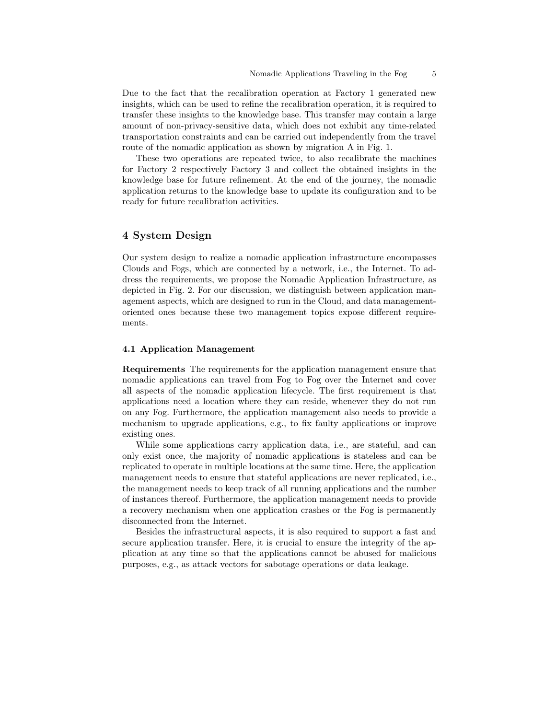Due to the fact that the recalibration operation at Factory 1 generated new insights, which can be used to refine the recalibration operation, it is required to transfer these insights to the knowledge base. This transfer may contain a large amount of non-privacy-sensitive data, which does not exhibit any time-related transportation constraints and can be carried out independently from the travel route of the nomadic application as shown by migration A in Fig. 1.

These two operations are repeated twice, to also recalibrate the machines for Factory 2 respectively Factory 3 and collect the obtained insights in the knowledge base for future refinement. At the end of the journey, the nomadic application returns to the knowledge base to update its configuration and to be ready for future recalibration activities.

### 4 System Design

Our system design to realize a nomadic application infrastructure encompasses Clouds and Fogs, which are connected by a network, i.e., the Internet. To address the requirements, we propose the Nomadic Application Infrastructure, as depicted in Fig. 2. For our discussion, we distinguish between application management aspects, which are designed to run in the Cloud, and data managementoriented ones because these two management topics expose different requirements.

#### 4.1 Application Management

Requirements The requirements for the application management ensure that nomadic applications can travel from Fog to Fog over the Internet and cover all aspects of the nomadic application lifecycle. The first requirement is that applications need a location where they can reside, whenever they do not run on any Fog. Furthermore, the application management also needs to provide a mechanism to upgrade applications, e.g., to fix faulty applications or improve existing ones.

While some applications carry application data, i.e., are stateful, and can only exist once, the majority of nomadic applications is stateless and can be replicated to operate in multiple locations at the same time. Here, the application management needs to ensure that stateful applications are never replicated, i.e., the management needs to keep track of all running applications and the number of instances thereof. Furthermore, the application management needs to provide a recovery mechanism when one application crashes or the Fog is permanently disconnected from the Internet.

Besides the infrastructural aspects, it is also required to support a fast and secure application transfer. Here, it is crucial to ensure the integrity of the application at any time so that the applications cannot be abused for malicious purposes, e.g., as attack vectors for sabotage operations or data leakage.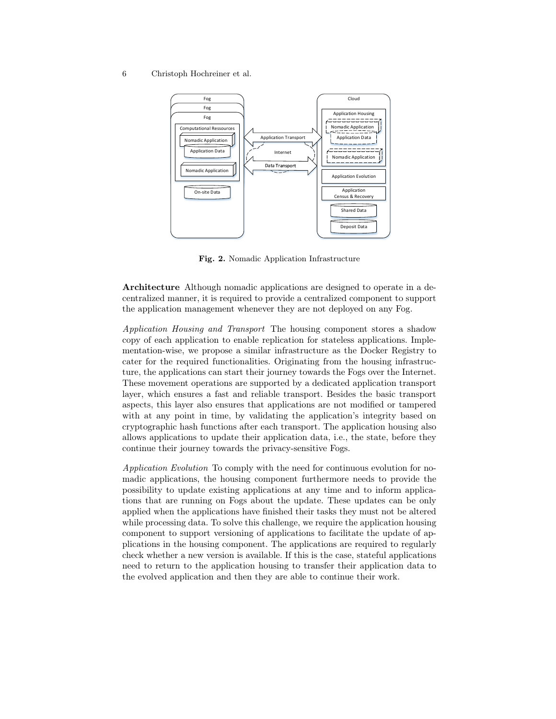

Fig. 2. Nomadic Application Infrastructure

Architecture Although nomadic applications are designed to operate in a decentralized manner, it is required to provide a centralized component to support the application management whenever they are not deployed on any Fog.

Application Housing and Transport The housing component stores a shadow copy of each application to enable replication for stateless applications. Implementation-wise, we propose a similar infrastructure as the Docker Registry to cater for the required functionalities. Originating from the housing infrastructure, the applications can start their journey towards the Fogs over the Internet. These movement operations are supported by a dedicated application transport layer, which ensures a fast and reliable transport. Besides the basic transport aspects, this layer also ensures that applications are not modified or tampered with at any point in time, by validating the application's integrity based on cryptographic hash functions after each transport. The application housing also allows applications to update their application data, i.e., the state, before they continue their journey towards the privacy-sensitive Fogs.

Application Evolution To comply with the need for continuous evolution for nomadic applications, the housing component furthermore needs to provide the possibility to update existing applications at any time and to inform applications that are running on Fogs about the update. These updates can be only applied when the applications have finished their tasks they must not be altered while processing data. To solve this challenge, we require the application housing component to support versioning of applications to facilitate the update of applications in the housing component. The applications are required to regularly check whether a new version is available. If this is the case, stateful applications need to return to the application housing to transfer their application data to the evolved application and then they are able to continue their work.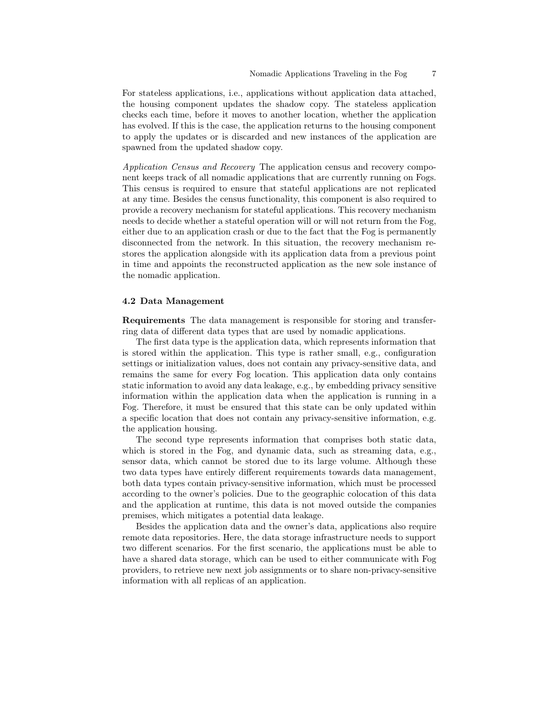For stateless applications, i.e., applications without application data attached, the housing component updates the shadow copy. The stateless application checks each time, before it moves to another location, whether the application has evolved. If this is the case, the application returns to the housing component to apply the updates or is discarded and new instances of the application are spawned from the updated shadow copy.

Application Census and Recovery The application census and recovery component keeps track of all nomadic applications that are currently running on Fogs. This census is required to ensure that stateful applications are not replicated at any time. Besides the census functionality, this component is also required to provide a recovery mechanism for stateful applications. This recovery mechanism needs to decide whether a stateful operation will or will not return from the Fog, either due to an application crash or due to the fact that the Fog is permanently disconnected from the network. In this situation, the recovery mechanism restores the application alongside with its application data from a previous point in time and appoints the reconstructed application as the new sole instance of the nomadic application.

#### 4.2 Data Management

Requirements The data management is responsible for storing and transferring data of different data types that are used by nomadic applications.

The first data type is the application data, which represents information that is stored within the application. This type is rather small, e.g., configuration settings or initialization values, does not contain any privacy-sensitive data, and remains the same for every Fog location. This application data only contains static information to avoid any data leakage, e.g., by embedding privacy sensitive information within the application data when the application is running in a Fog. Therefore, it must be ensured that this state can be only updated within a specific location that does not contain any privacy-sensitive information, e.g. the application housing.

The second type represents information that comprises both static data, which is stored in the Fog, and dynamic data, such as streaming data, e.g., sensor data, which cannot be stored due to its large volume. Although these two data types have entirely different requirements towards data management, both data types contain privacy-sensitive information, which must be processed according to the owner's policies. Due to the geographic colocation of this data and the application at runtime, this data is not moved outside the companies premises, which mitigates a potential data leakage.

Besides the application data and the owner's data, applications also require remote data repositories. Here, the data storage infrastructure needs to support two different scenarios. For the first scenario, the applications must be able to have a shared data storage, which can be used to either communicate with Fog providers, to retrieve new next job assignments or to share non-privacy-sensitive information with all replicas of an application.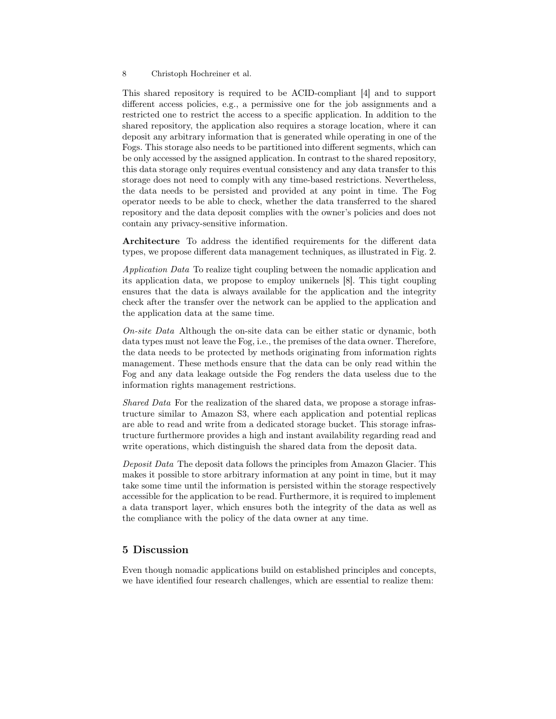This shared repository is required to be ACID-compliant [4] and to support different access policies, e.g., a permissive one for the job assignments and a restricted one to restrict the access to a specific application. In addition to the shared repository, the application also requires a storage location, where it can deposit any arbitrary information that is generated while operating in one of the Fogs. This storage also needs to be partitioned into different segments, which can be only accessed by the assigned application. In contrast to the shared repository, this data storage only requires eventual consistency and any data transfer to this storage does not need to comply with any time-based restrictions. Nevertheless, the data needs to be persisted and provided at any point in time. The Fog operator needs to be able to check, whether the data transferred to the shared repository and the data deposit complies with the owner's policies and does not contain any privacy-sensitive information.

Architecture To address the identified requirements for the different data types, we propose different data management techniques, as illustrated in Fig. 2.

Application Data To realize tight coupling between the nomadic application and its application data, we propose to employ unikernels [8]. This tight coupling ensures that the data is always available for the application and the integrity check after the transfer over the network can be applied to the application and the application data at the same time.

On-site Data Although the on-site data can be either static or dynamic, both data types must not leave the Fog, i.e., the premises of the data owner. Therefore, the data needs to be protected by methods originating from information rights management. These methods ensure that the data can be only read within the Fog and any data leakage outside the Fog renders the data useless due to the information rights management restrictions.

Shared Data For the realization of the shared data, we propose a storage infrastructure similar to Amazon S3, where each application and potential replicas are able to read and write from a dedicated storage bucket. This storage infrastructure furthermore provides a high and instant availability regarding read and write operations, which distinguish the shared data from the deposit data.

Deposit Data The deposit data follows the principles from Amazon Glacier. This makes it possible to store arbitrary information at any point in time, but it may take some time until the information is persisted within the storage respectively accessible for the application to be read. Furthermore, it is required to implement a data transport layer, which ensures both the integrity of the data as well as the compliance with the policy of the data owner at any time.

# 5 Discussion

Even though nomadic applications build on established principles and concepts, we have identified four research challenges, which are essential to realize them: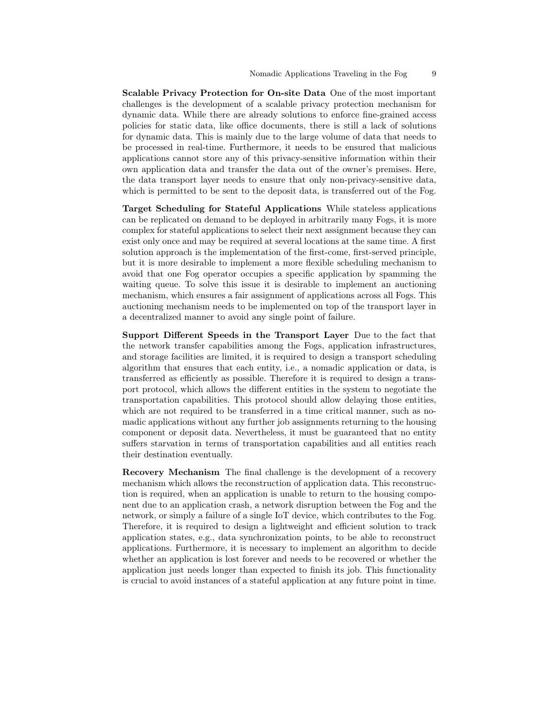Scalable Privacy Protection for On-site Data One of the most important challenges is the development of a scalable privacy protection mechanism for dynamic data. While there are already solutions to enforce fine-grained access policies for static data, like office documents, there is still a lack of solutions for dynamic data. This is mainly due to the large volume of data that needs to be processed in real-time. Furthermore, it needs to be ensured that malicious applications cannot store any of this privacy-sensitive information within their own application data and transfer the data out of the owner's premises. Here, the data transport layer needs to ensure that only non-privacy-sensitive data, which is permitted to be sent to the deposit data, is transferred out of the Fog.

Target Scheduling for Stateful Applications While stateless applications can be replicated on demand to be deployed in arbitrarily many Fogs, it is more complex for stateful applications to select their next assignment because they can exist only once and may be required at several locations at the same time. A first solution approach is the implementation of the first-come, first-served principle, but it is more desirable to implement a more flexible scheduling mechanism to avoid that one Fog operator occupies a specific application by spamming the waiting queue. To solve this issue it is desirable to implement an auctioning mechanism, which ensures a fair assignment of applications across all Fogs. This auctioning mechanism needs to be implemented on top of the transport layer in a decentralized manner to avoid any single point of failure.

Support Different Speeds in the Transport Layer Due to the fact that the network transfer capabilities among the Fogs, application infrastructures, and storage facilities are limited, it is required to design a transport scheduling algorithm that ensures that each entity, i.e., a nomadic application or data, is transferred as efficiently as possible. Therefore it is required to design a transport protocol, which allows the different entities in the system to negotiate the transportation capabilities. This protocol should allow delaying those entities, which are not required to be transferred in a time critical manner, such as nomadic applications without any further job assignments returning to the housing component or deposit data. Nevertheless, it must be guaranteed that no entity suffers starvation in terms of transportation capabilities and all entities reach their destination eventually.

Recovery Mechanism The final challenge is the development of a recovery mechanism which allows the reconstruction of application data. This reconstruction is required, when an application is unable to return to the housing component due to an application crash, a network disruption between the Fog and the network, or simply a failure of a single IoT device, which contributes to the Fog. Therefore, it is required to design a lightweight and efficient solution to track application states, e.g., data synchronization points, to be able to reconstruct applications. Furthermore, it is necessary to implement an algorithm to decide whether an application is lost forever and needs to be recovered or whether the application just needs longer than expected to finish its job. This functionality is crucial to avoid instances of a stateful application at any future point in time.